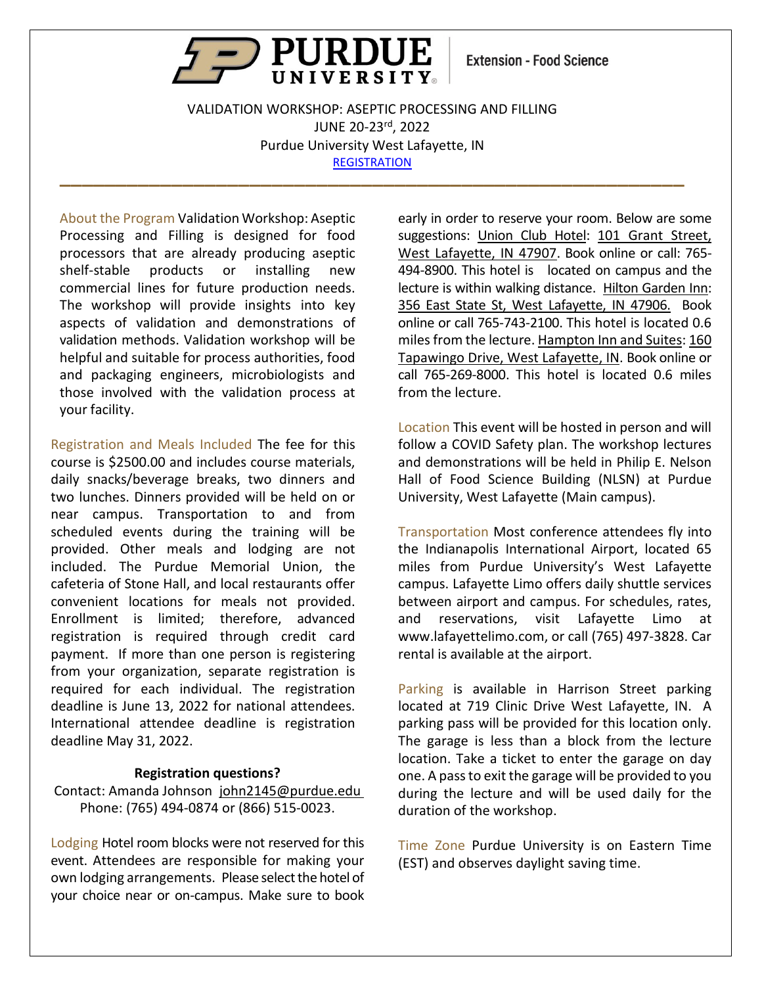

**Extension - Food Science** 

VALIDATION WORKSHOP: ASEPTIC PROCESSING AND FILLING JUNE 20-23rd, 2022 Purdue University West Lafayette, IN **[REGISTRATION](https://ag.purdue.edu/foodsci/mishralab/workshops) \_\_\_\_\_\_\_\_\_\_\_\_\_\_\_\_\_\_\_\_\_\_\_\_\_\_\_\_\_\_\_\_\_\_\_\_\_\_\_\_\_\_\_\_\_\_\_\_\_\_\_\_\_\_\_\_**

About the Program Validation Workshop: Aseptic Processing and Filling is designed for food processors that are already producing aseptic shelf-stable products or installing new commercial lines for future production needs. The workshop will provide insights into key aspects of validation and demonstrations of validation methods. Validation workshop will be helpful and suitable for process authorities, food and packaging engineers, microbiologists and those involved with the validation process at your facility.

Registration and Meals Included The fee for this course is \$2500.00 and includes course materials, daily snacks/beverage breaks, two dinners and two lunches. Dinners provided will be held on or near campus. Transportation to and from scheduled events during the training will be provided. Other meals and lodging are not included. The Purdue Memorial Union, the cafeteria of Stone Hall, and local restaurants offer convenient locations for meals not provided. Enrollment is limited; therefore, advanced registration is required through credit card payment. If more than one person is registering from your organization, separate registration is required for each individual. The registration deadline is June 13, 2022 for national attendees. International attendee deadline is registration deadline May 31, 2022.

#### **Registration questions?**

Contact: Amanda Johnson [john2145@purdue.edu](mailto:john2145@purdue.edu)  Phone: (765) 494-0874 or (866) 515-0023.

Lodging Hotel room blocks were not reserved for this event. Attendees are responsible for making your own lodging arrangements. Please select the hotel of your choice near or on-campus. Make sure to book

early in order to reserve your room. Below are some suggestions: [Union Club Hotel:](https://union-purdue.webhotel.microsdc.us/bp/search_rooms.cmd?WT.ic_id=MainBookNow&_ga=2.15884342.1669171619.1637612600-966797748.1637612600&adobe_mc=MCMID%3D30286554336873446704078968804039130542%7CMCORGID%3D1C1238B352785AA60A490D4C%2540AdobeOrg%7CTS%3D1637612629) [101 Grant Street,](https://www.google.com/maps/place/Union+Club+Hotel+at+Purdue/@40.4250008,-86.9127078,17z/data=!4m18!1m9!3m8!1s0x8812e2ae10f609b7:0x2ef633321ea116be!2sUnion+Club+Hotel+at+Purdue!5m2!4m1!1i2!8m2!3d40.4249967!4d-86.9105191!3m7!1s0x8812e2ae10f609b7:0x2ef633321ea116be!5m2!4m1!1i2!8m2!3d40.4249967!4d-86.9105191)  [West Lafayette, IN 47907.](https://www.google.com/maps/place/Union+Club+Hotel+at+Purdue/@40.4250008,-86.9127078,17z/data=!4m18!1m9!3m8!1s0x8812e2ae10f609b7:0x2ef633321ea116be!2sUnion+Club+Hotel+at+Purdue!5m2!4m1!1i2!8m2!3d40.4249967!4d-86.9105191!3m7!1s0x8812e2ae10f609b7:0x2ef633321ea116be!5m2!4m1!1i2!8m2!3d40.4249967!4d-86.9105191) Book online or call: 765- 494-8900. This hotel is located on campus and the lecture is within walking distance. [Hilton Garden Inn:](https://www.hilton.com/en/hotels/lafwlgi-hilton-garden-inn-west-lafayette-wabash-landing/?SEO_id=GMB-GI-LAFWLGI&y_source=1_MjA4MzgxNy03MTUtbG9jYXRpb24uZ29vZ2xlX3dlYnNpdGVfb3ZlcnJpZGU%3D) [356 East State St, West Lafayette, IN 47906.](https://www.google.com/maps/place/356+E+State+St,+West+Lafayette,+IN+47906/@40.4214995,-86.9018238,17z/data=!3m1!4b1!4m5!3m4!1s0x88131d579be4a9cb:0x2a72b7d2b9d70184!8m2!3d40.4214995!4d-86.8996351) Book online or call 765-743-2100. This hotel is located 0.6 miles from the lecture[. Hampton Inn and Suites:](https://www.hilton.com/en/book/reservation/rooms/?ctyhocn=LAFWEHX&arrivalDate=2021-11-24&departureDate=2021-11-25&room1NumAdults=2&inputModule=HOTEL_SEARCH&viewPackagesAndPromotionsRate=true&WT.mc_id=zLADA0US1HX2OLX3GGL4ADVMETA5LF6_LAFWEHX7_129231037_&hmGUID=7382e585-c05c-4131-af41-294cb954c6e6) [160](https://www.google.com/maps/place/Hampton+Inn+%26+Suites+West+Lafayette/@40.4198147,-86.9362159,13z/data=!4m9!1m2!2m1!1sHotels!3m5!1s0x88131d577bf7df5f:0xd0c2a9dade41d906!5m2!4m1!1i2!15sCgZIb3RlbHOSAQVob3RlbA)  [Tapawingo Drive, West Lafayette, IN.](https://www.google.com/maps/place/Hampton+Inn+%26+Suites+West+Lafayette/@40.4198147,-86.9362159,13z/data=!4m9!1m2!2m1!1sHotels!3m5!1s0x88131d577bf7df5f:0xd0c2a9dade41d906!5m2!4m1!1i2!15sCgZIb3RlbHOSAQVob3RlbA) Book online or call 765-269-8000. This hotel is located 0.6 miles from the lecture.

Location This event will be hosted in person and will follow a COVID Safety plan. The workshop lectures and demonstrations will be held in Philip E. Nelson Hall of Food Science Building (NLSN) at Purdue University, West Lafayette (Main campus).

Transportation Most conference attendees fly into the Indianapolis International Airport, located 65 miles from Purdue University's West Lafayette campus. Lafayette Limo offers daily shuttle services between airport and campus. For schedules, rates, and reservations, visit Lafayette Limo at [www.lafayettelimo.com,](http://www.lafayettelimo.com/) or call (765) 497-3828. Car rental is available at the airport.

Parking is available in Harrison Street parking located at 719 Clinic Drive West Lafayette, IN. A parking pass will be provided for this location only. The garage is less than a block from the lecture location. Take a ticket to enter the garage on day one. A passto exit the garage will be provided to you during the lecture and will be used daily for the duration of the workshop.

Time Zone Purdue University is on Eastern Time (EST) and observes daylight saving time.